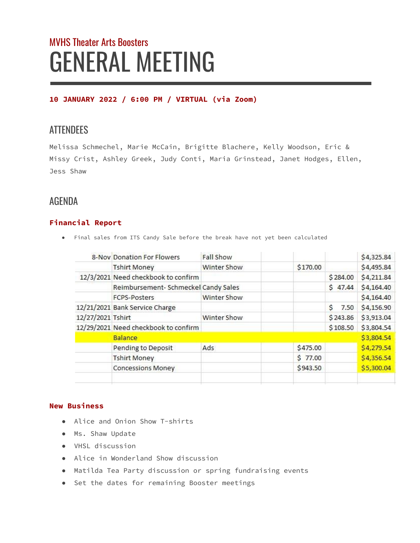# MVHS Theater Arts Boosters GENERAL MEETING

# **10 JANUARY 2022 / 6:00 PM / VIRTUAL (via Zoom)**

# **ATTENDEES**

Melissa Schmechel, Marie McCain, Brigitte Blachere, Kelly Woodson, Eric & Missy Crist, Ashley Greek, Judy Conti, Maria Grinstead, Janet Hodges, Ellen, Jess Shaw

# AGENDA

# **Financial Report**

● Final sales from ITS Candy Sale before the break have not yet been calculated

|                   | 8-Nov Donation For Flowers           | <b>Fall Show</b> |          |            | \$4,325.84 |
|-------------------|--------------------------------------|------------------|----------|------------|------------|
|                   | <b>Tshirt Money</b>                  | Winter Show      | \$170.00 |            | \$4,495.84 |
|                   | 12/3/2021 Need checkbook to confirm  |                  |          | \$284.00   | \$4,211.84 |
|                   | Reimbursement- Schmeckel Candy Sales |                  |          | \$47.44    | \$4,164.40 |
|                   | <b>FCPS-Posters</b>                  | Winter Show      |          |            | \$4,164.40 |
|                   | 12/21/2021 Bank Service Charge       |                  |          | Ś.<br>7.50 | \$4,156.90 |
| 12/27/2021 Tshirt |                                      | Winter Show      |          | \$243.86   | \$3,913.04 |
|                   | 12/29/2021 Need checkbook to confirm |                  |          | \$108.50   | \$3,804.54 |
|                   | <b>Balance</b>                       |                  |          |            | \$3,804.54 |
|                   | Pending to Deposit                   | Ads              | \$475.00 |            | \$4,279.54 |
|                   | <b>Tshirt Money</b>                  |                  | \$77.00  |            | \$4,356.54 |
|                   | <b>Concessions Money</b>             |                  | \$943.50 |            | \$5,300.04 |
|                   |                                      |                  |          |            |            |

#### **New Business**

- Alice and Onion Show T-shirts
- Ms. Shaw Update
- VHSL discussion
- Alice in Wonderland Show discussion
- Matilda Tea Party discussion or spring fundraising events
- Set the dates for remaining Booster meetings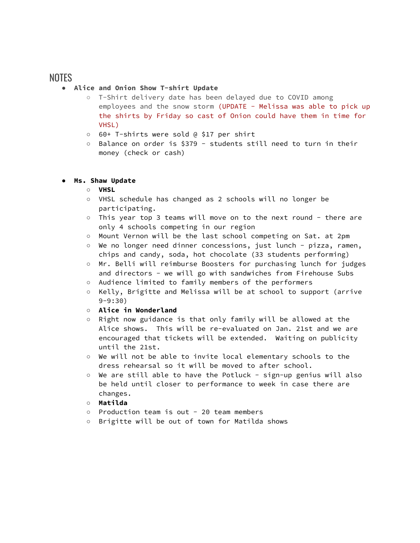# NOTES

#### ● **Alice and Onion Show T-shirt Update**

- T-Shirt delivery date has been delayed due to COVID among employees and the snow storm (UPDATE - Melissa was able to pick up the shirts by Friday so cast of Onion could have them in time for VHSL)
- 60+ T-shirts were sold @ \$17 per shirt
- Balance on order is \$379 students still need to turn in their money (check or cash)

#### **● Ms. Shaw Update**

#### **○ VHSL**

- VHSL schedule has changed as 2 schools will no longer be participating.
- This year top 3 teams will move on to the next round there are only 4 schools competing in our region
- Mount Vernon will be the last school competing on Sat. at 2pm
- We no longer need dinner concessions, just lunch pizza, ramen, chips and candy, soda, hot chocolate (33 students performing)
- Mr. Belli will reimburse Boosters for purchasing lunch for judges and directors - we will go with sandwiches from Firehouse Subs
- Audience limited to family members of the performers
- Kelly, Brigitte and Melissa will be at school to support (arrive 9-9:30)
- **○ Alice in Wonderland**
- Right now guidance is that only family will be allowed at the Alice shows. This will be re-evaluated on Jan. 21st and we are encouraged that tickets will be extended. Waiting on publicity until the 21st.
- We will not be able to invite local elementary schools to the dress rehearsal so it will be moved to after school.
- We are still able to have the Potluck sign-up genius will also be held until closer to performance to week in case there are changes.
- **○ Matilda**
- Production team is out 20 team members
- Brigitte will be out of town for Matilda shows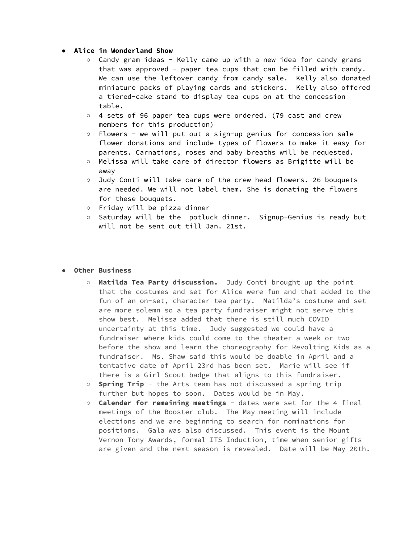#### **● Alice in Wonderland Show**

- Candy gram ideas Kelly came up with a new idea for candy grams that was approved - paper tea cups that can be filled with candy. We can use the leftover candy from candy sale. Kelly also donated miniature packs of playing cards and stickers. Kelly also offered a tiered-cake stand to display tea cups on at the concession table.
- 4 sets of 96 paper tea cups were ordered. (79 cast and crew members for this production)
- Flowers we will put out a sign-up genius for concession sale flower donations and include types of flowers to make it easy for parents. Carnations, roses and baby breaths will be requested.
- Melissa will take care of director flowers as Brigitte will be away
- Judy Conti will take care of the crew head flowers. 26 bouquets are needed. We will not label them. She is donating the flowers for these bouquets.
- Friday will be pizza dinner
- Saturday will be the potluck dinner. Signup-Genius is ready but will not be sent out till Jan. 21st.

#### **● Other Business**

- **Matilda Tea Party discussion.** Judy Conti brought up the point that the costumes and set for Alice were fun and that added to the fun of an on-set, character tea party. Matilda's costume and set are more solemn so a tea party fundraiser might not serve this show best. Melissa added that there is still much COVID uncertainty at this time. Judy suggested we could have a fundraiser where kids could come to the theater a week or two before the show and learn the choreography for Revolting Kids as a fundraiser. Ms. Shaw said this would be doable in April and a tentative date of April 23rd has been set. Marie will see if there is a Girl Scout badge that aligns to this fundraiser.
- **Spring Trip** the Arts team has not discussed a spring trip further but hopes to soon. Dates would be in May.
- **○ Calendar for remaining meetings** dates were set for the 4 final meetings of the Booster club. The May meeting will include elections and we are beginning to search for nominations for positions. Gala was also discussed. This event is the Mount Vernon Tony Awards, formal ITS Induction, time when senior gifts are given and the next season is revealed. Date will be May 20th.